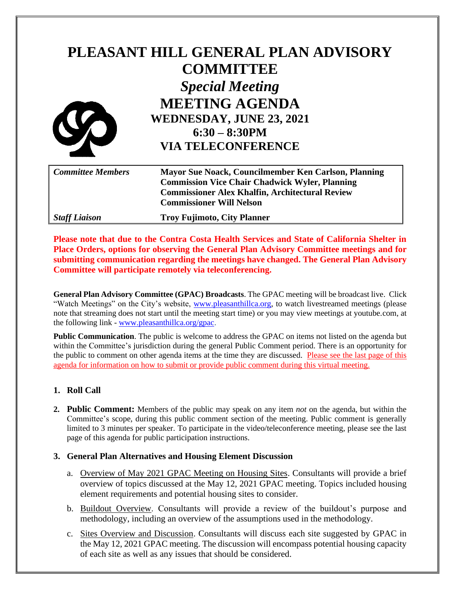# **PLEASANT HILL GENERAL PLAN ADVISORY COMMITTEE** *Special Meeting* **MEETING AGENDA WEDNESDAY, JUNE 23, 2021 6:30 – 8:30PM VIA TELECONFERENCE**

| <b>Committee Members</b> | Mayor Sue Noack, Councilmember Ken Carlson, Planning<br><b>Commission Vice Chair Chadwick Wyler, Planning</b><br><b>Commissioner Alex Khalfin, Architectural Review</b><br><b>Commissioner Will Nelson</b> |
|--------------------------|------------------------------------------------------------------------------------------------------------------------------------------------------------------------------------------------------------|
| <b>Staff Liaison</b>     | <b>Troy Fujimoto, City Planner</b>                                                                                                                                                                         |

**Please note that due to the Contra Costa Health Services and State of California Shelter in Place Orders, options for observing the General Plan Advisory Committee meetings and for submitting communication regarding the meetings have changed. The General Plan Advisory Committee will participate remotely via teleconferencing.**

**General Plan Advisory Committee (GPAC) Broadcasts**. The GPAC meeting will be broadcast live. Click "Watch Meetings" on the City's website, [www.pleasanthillca.org,](http://www.pleasanthillca.org/) to watch livestreamed meetings (please note that streaming does not start until the meeting start time) or you may view meetings at youtube.com, at the following link - [www.pleasanthillca.org/gpac.](http://www.pleasanthillca.org/gpac)

**Public Communication**. The public is welcome to address the GPAC on items not listed on the agenda but within the Committee's jurisdiction during the general Public Comment period. There is an opportunity for the public to comment on other agenda items at the time they are discussed. Please see the last page of this agenda for information on how to submit or provide public comment during this virtual meeting.

### **1. Roll Call**

**2. Public Comment:** Members of the public may speak on any item *not* on the agenda, but within the Committee's scope, during this public comment section of the meeting. Public comment is generally limited to 3 minutes per speaker. To participate in the video/teleconference meeting, please see the last page of this agenda for public participation instructions.

### **3. General Plan Alternatives and Housing Element Discussion**

- a. Overview of May 2021 GPAC Meeting on Housing Sites. Consultants will provide a brief overview of topics discussed at the May 12, 2021 GPAC meeting. Topics included housing element requirements and potential housing sites to consider.
- b. Buildout Overview. Consultants will provide a review of the buildout's purpose and methodology, including an overview of the assumptions used in the methodology.
- c. Sites Overview and Discussion. Consultants will discuss each site suggested by GPAC in the May 12, 2021 GPAC meeting. The discussion will encompass potential housing capacity of each site as well as any issues that should be considered.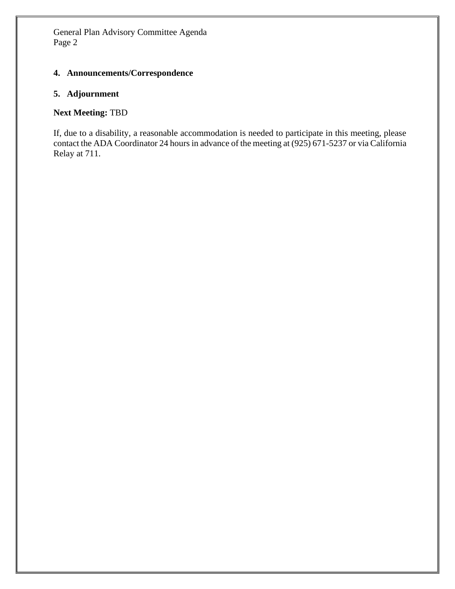#### **4. Announcements/Correspondence**

### **5. Adjournment**

# **Next Meeting:** TBD

If, due to a disability, a reasonable accommodation is needed to participate in this meeting, please contact the ADA Coordinator 24 hours in advance of the meeting at (925) 671-5237 or via California Relay at 711.